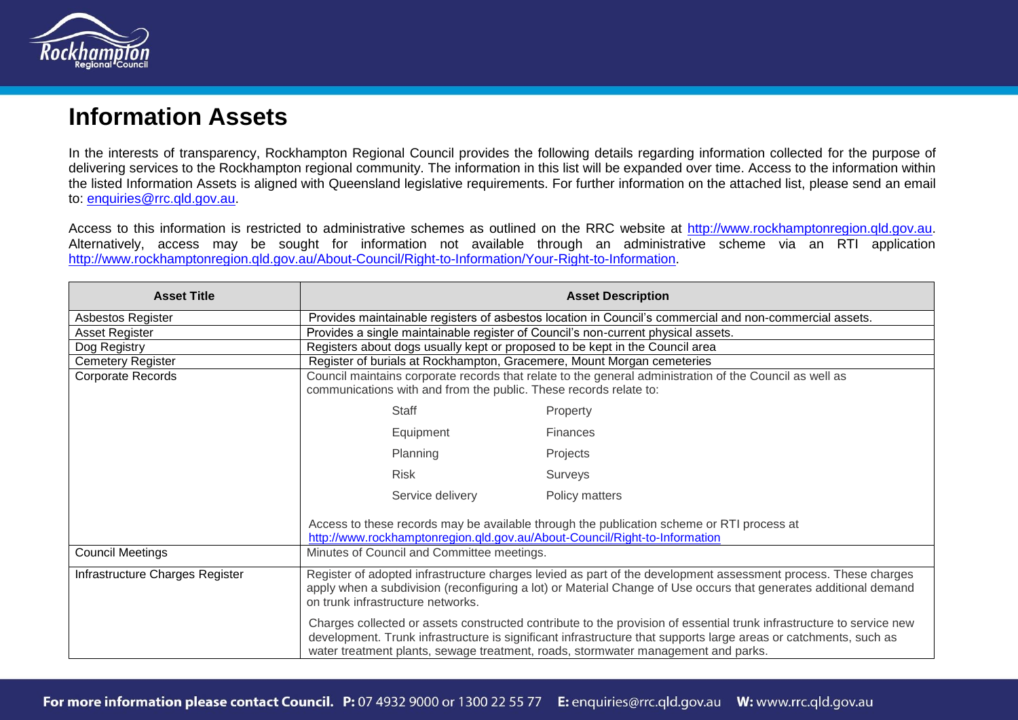

## **Information Assets**

In the interests of transparency, Rockhampton Regional Council provides the following details regarding information collected for the purpose of delivering services to the Rockhampton regional community. The information in this list will be expanded over time. Access to the information within the listed Information Assets is aligned with Queensland legislative requirements. For further information on the attached list, please send an email to: [enquiries@rrc.qld.gov.au.](mailto:enquiries@rrc.qld.gov.au)

Access to this information is restricted to administrative schemes as outlined on the RRC website at [http://www.rockhamptonregion.qld.gov.au.](http://www.rockhamptonregion.qld.gov.au/) Alternatively, access may be sought for information not available through an administrative scheme via an RTI application [http://www.rockhamptonregion.qld.gov.au/About-Council/Right-to-Information/Your-Right-to-Information.](http://www.rockhamptonregion.qld.gov.au/About-Council/Right-to-Information/Your-Right-to-Information)

| <b>Asset Title</b>              |                                                                                                                                                                                                                                                                                                                               | <b>Asset Description</b>                                                                  |
|---------------------------------|-------------------------------------------------------------------------------------------------------------------------------------------------------------------------------------------------------------------------------------------------------------------------------------------------------------------------------|-------------------------------------------------------------------------------------------|
| Asbestos Register               | Provides maintainable registers of asbestos location in Council's commercial and non-commercial assets.                                                                                                                                                                                                                       |                                                                                           |
| Asset Register                  | Provides a single maintainable register of Council's non-current physical assets.                                                                                                                                                                                                                                             |                                                                                           |
| Dog Registry                    | Registers about dogs usually kept or proposed to be kept in the Council area                                                                                                                                                                                                                                                  |                                                                                           |
| <b>Cemetery Register</b>        | Register of burials at Rockhampton, Gracemere, Mount Morgan cemeteries                                                                                                                                                                                                                                                        |                                                                                           |
| Corporate Records               | Council maintains corporate records that relate to the general administration of the Council as well as<br>communications with and from the public. These records relate to:                                                                                                                                                  |                                                                                           |
|                                 | <b>Staff</b>                                                                                                                                                                                                                                                                                                                  | Property                                                                                  |
|                                 | Equipment                                                                                                                                                                                                                                                                                                                     | <b>Finances</b>                                                                           |
|                                 | Planning                                                                                                                                                                                                                                                                                                                      | Projects                                                                                  |
|                                 | <b>Risk</b>                                                                                                                                                                                                                                                                                                                   | Surveys                                                                                   |
|                                 | Service delivery                                                                                                                                                                                                                                                                                                              | Policy matters                                                                            |
|                                 | http://www.rockhamptonregion.qld.gov.au/About-Council/Right-to-Information                                                                                                                                                                                                                                                    | Access to these records may be available through the publication scheme or RTI process at |
| <b>Council Meetings</b>         | Minutes of Council and Committee meetings.                                                                                                                                                                                                                                                                                    |                                                                                           |
| Infrastructure Charges Register | Register of adopted infrastructure charges levied as part of the development assessment process. These charges<br>apply when a subdivision (reconfiguring a lot) or Material Change of Use occurs that generates additional demand<br>on trunk infrastructure networks.                                                       |                                                                                           |
|                                 | Charges collected or assets constructed contribute to the provision of essential trunk infrastructure to service new<br>development. Trunk infrastructure is significant infrastructure that supports large areas or catchments, such as<br>water treatment plants, sewage treatment, roads, stormwater management and parks. |                                                                                           |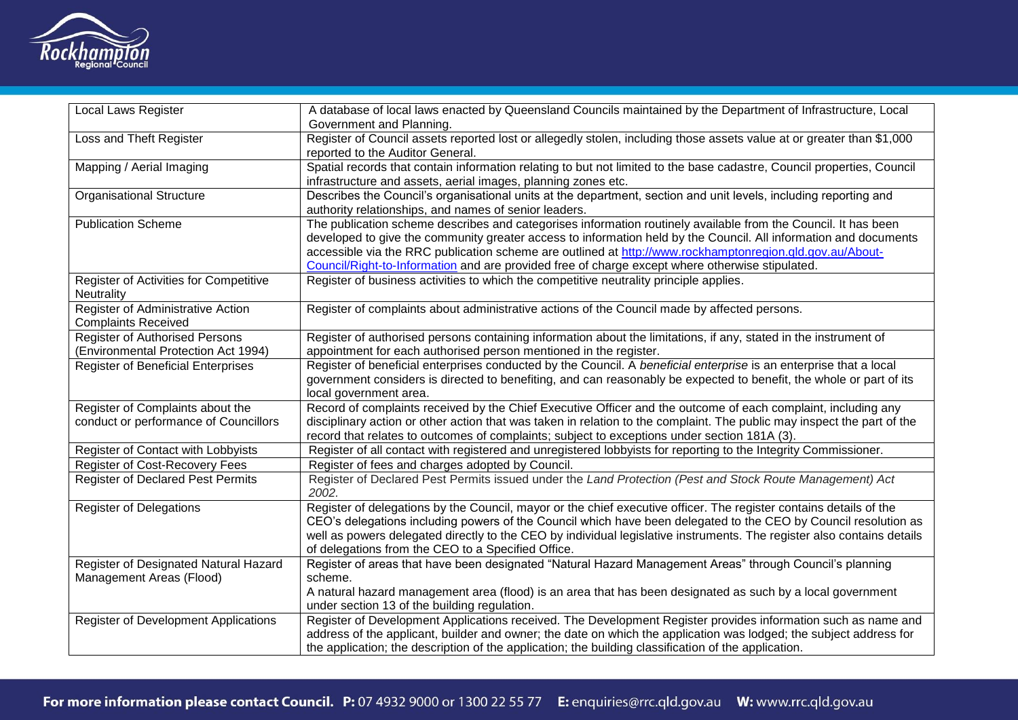

| <b>Local Laws Register</b>                                                   | A database of local laws enacted by Queensland Councils maintained by the Department of Infrastructure, Local<br>Government and Planning.                                                                                                                                                                                                                                                                                                         |
|------------------------------------------------------------------------------|---------------------------------------------------------------------------------------------------------------------------------------------------------------------------------------------------------------------------------------------------------------------------------------------------------------------------------------------------------------------------------------------------------------------------------------------------|
| Loss and Theft Register                                                      | Register of Council assets reported lost or allegedly stolen, including those assets value at or greater than \$1,000<br>reported to the Auditor General.                                                                                                                                                                                                                                                                                         |
| Mapping / Aerial Imaging                                                     | Spatial records that contain information relating to but not limited to the base cadastre, Council properties, Council<br>infrastructure and assets, aerial images, planning zones etc.                                                                                                                                                                                                                                                           |
| <b>Organisational Structure</b>                                              | Describes the Council's organisational units at the department, section and unit levels, including reporting and<br>authority relationships, and names of senior leaders.                                                                                                                                                                                                                                                                         |
| <b>Publication Scheme</b>                                                    | The publication scheme describes and categorises information routinely available from the Council. It has been<br>developed to give the community greater access to information held by the Council. All information and documents<br>accessible via the RRC publication scheme are outlined at http://www.rockhamptonregion.qld.gov.au/About-<br>Council/Right-to-Information and are provided free of charge except where otherwise stipulated. |
| Register of Activities for Competitive<br>Neutrality                         | Register of business activities to which the competitive neutrality principle applies.                                                                                                                                                                                                                                                                                                                                                            |
| Register of Administrative Action<br><b>Complaints Received</b>              | Register of complaints about administrative actions of the Council made by affected persons.                                                                                                                                                                                                                                                                                                                                                      |
| <b>Register of Authorised Persons</b><br>(Environmental Protection Act 1994) | Register of authorised persons containing information about the limitations, if any, stated in the instrument of<br>appointment for each authorised person mentioned in the register.                                                                                                                                                                                                                                                             |
| <b>Register of Beneficial Enterprises</b>                                    | Register of beneficial enterprises conducted by the Council. A beneficial enterprise is an enterprise that a local<br>government considers is directed to benefiting, and can reasonably be expected to benefit, the whole or part of its<br>local government area.                                                                                                                                                                               |
| Register of Complaints about the<br>conduct or performance of Councillors    | Record of complaints received by the Chief Executive Officer and the outcome of each complaint, including any<br>disciplinary action or other action that was taken in relation to the complaint. The public may inspect the part of the<br>record that relates to outcomes of complaints; subject to exceptions under section 181A (3).                                                                                                          |
| Register of Contact with Lobbyists                                           | Register of all contact with registered and unregistered lobbyists for reporting to the Integrity Commissioner.                                                                                                                                                                                                                                                                                                                                   |
| Register of Cost-Recovery Fees                                               | Register of fees and charges adopted by Council.                                                                                                                                                                                                                                                                                                                                                                                                  |
| <b>Register of Declared Pest Permits</b>                                     | Register of Declared Pest Permits issued under the Land Protection (Pest and Stock Route Management) Act<br>2002.                                                                                                                                                                                                                                                                                                                                 |
| <b>Register of Delegations</b>                                               | Register of delegations by the Council, mayor or the chief executive officer. The register contains details of the<br>CEO's delegations including powers of the Council which have been delegated to the CEO by Council resolution as<br>well as powers delegated directly to the CEO by individual legislative instruments. The register also contains details<br>of delegations from the CEO to a Specified Office.                             |
| Register of Designated Natural Hazard                                        | Register of areas that have been designated "Natural Hazard Management Areas" through Council's planning                                                                                                                                                                                                                                                                                                                                          |
| Management Areas (Flood)                                                     | scheme.<br>A natural hazard management area (flood) is an area that has been designated as such by a local government<br>under section 13 of the building regulation.                                                                                                                                                                                                                                                                             |
| <b>Register of Development Applications</b>                                  | Register of Development Applications received. The Development Register provides information such as name and                                                                                                                                                                                                                                                                                                                                     |
|                                                                              | address of the applicant, builder and owner; the date on which the application was lodged; the subject address for<br>the application; the description of the application; the building classification of the application.                                                                                                                                                                                                                        |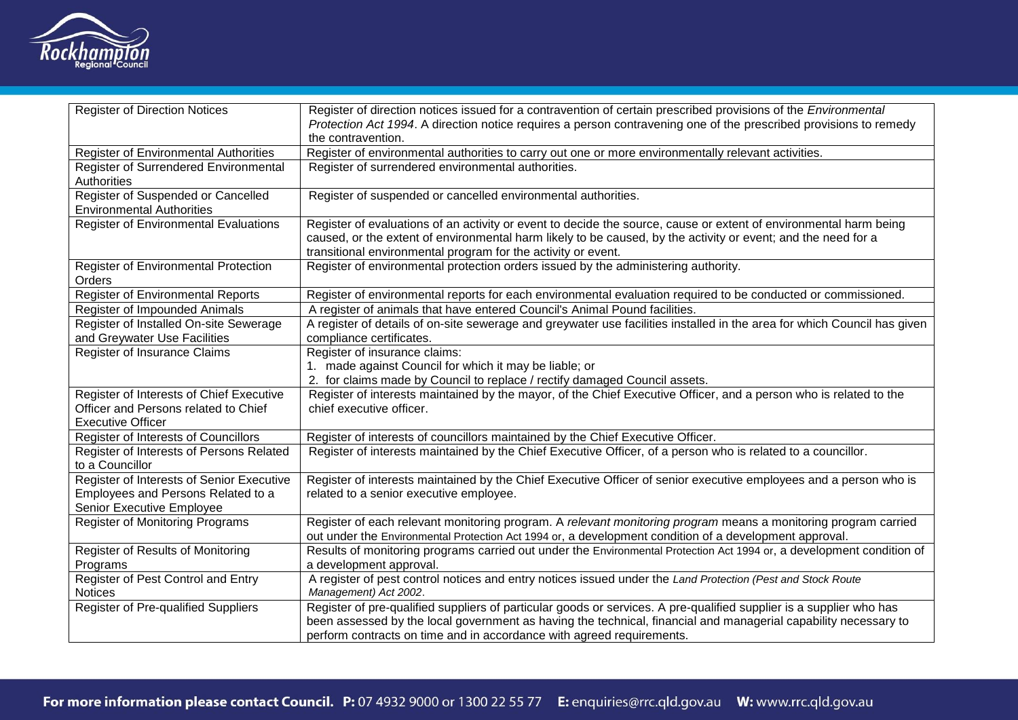

| <b>Register of Direction Notices</b>                                   | Register of direction notices issued for a contravention of certain prescribed provisions of the Environmental<br>Protection Act 1994. A direction notice requires a person contravening one of the prescribed provisions to remedy<br>the contravention.                                                       |
|------------------------------------------------------------------------|-----------------------------------------------------------------------------------------------------------------------------------------------------------------------------------------------------------------------------------------------------------------------------------------------------------------|
| Register of Environmental Authorities                                  | Register of environmental authorities to carry out one or more environmentally relevant activities.                                                                                                                                                                                                             |
| Register of Surrendered Environmental<br>Authorities                   | Register of surrendered environmental authorities.                                                                                                                                                                                                                                                              |
| Register of Suspended or Cancelled<br><b>Environmental Authorities</b> | Register of suspended or cancelled environmental authorities.                                                                                                                                                                                                                                                   |
| <b>Register of Environmental Evaluations</b>                           | Register of evaluations of an activity or event to decide the source, cause or extent of environmental harm being<br>caused, or the extent of environmental harm likely to be caused, by the activity or event; and the need for a<br>transitional environmental program for the activity or event.             |
| Register of Environmental Protection<br>Orders                         | Register of environmental protection orders issued by the administering authority.                                                                                                                                                                                                                              |
| <b>Register of Environmental Reports</b>                               | Register of environmental reports for each environmental evaluation required to be conducted or commissioned.                                                                                                                                                                                                   |
| Register of Impounded Animals                                          | A register of animals that have entered Council's Animal Pound facilities.                                                                                                                                                                                                                                      |
| Register of Installed On-site Sewerage                                 | A register of details of on-site sewerage and greywater use facilities installed in the area for which Council has given                                                                                                                                                                                        |
| and Greywater Use Facilities                                           | compliance certificates.                                                                                                                                                                                                                                                                                        |
| Register of Insurance Claims                                           | Register of insurance claims:                                                                                                                                                                                                                                                                                   |
|                                                                        | 1. made against Council for which it may be liable; or                                                                                                                                                                                                                                                          |
|                                                                        | 2. for claims made by Council to replace / rectify damaged Council assets.                                                                                                                                                                                                                                      |
| Register of Interests of Chief Executive                               | Register of interests maintained by the mayor, of the Chief Executive Officer, and a person who is related to the                                                                                                                                                                                               |
| Officer and Persons related to Chief<br><b>Executive Officer</b>       | chief executive officer.                                                                                                                                                                                                                                                                                        |
| Register of Interests of Councillors                                   | Register of interests of councillors maintained by the Chief Executive Officer.                                                                                                                                                                                                                                 |
| Register of Interests of Persons Related                               | Register of interests maintained by the Chief Executive Officer, of a person who is related to a councillor.                                                                                                                                                                                                    |
| to a Councillor                                                        |                                                                                                                                                                                                                                                                                                                 |
| Register of Interests of Senior Executive                              | Register of interests maintained by the Chief Executive Officer of senior executive employees and a person who is                                                                                                                                                                                               |
| Employees and Persons Related to a                                     | related to a senior executive employee.                                                                                                                                                                                                                                                                         |
| Senior Executive Employee                                              |                                                                                                                                                                                                                                                                                                                 |
| <b>Register of Monitoring Programs</b>                                 | Register of each relevant monitoring program. A relevant monitoring program means a monitoring program carried<br>out under the Environmental Protection Act 1994 or, a development condition of a development approval.                                                                                        |
| Register of Results of Monitoring                                      | Results of monitoring programs carried out under the Environmental Protection Act 1994 or, a development condition of                                                                                                                                                                                           |
| Programs                                                               | a development approval.                                                                                                                                                                                                                                                                                         |
| Register of Pest Control and Entry<br><b>Notices</b>                   | A register of pest control notices and entry notices issued under the Land Protection (Pest and Stock Route<br>Management) Act 2002.                                                                                                                                                                            |
| <b>Register of Pre-qualified Suppliers</b>                             | Register of pre-qualified suppliers of particular goods or services. A pre-qualified supplier is a supplier who has<br>been assessed by the local government as having the technical, financial and managerial capability necessary to<br>perform contracts on time and in accordance with agreed requirements. |